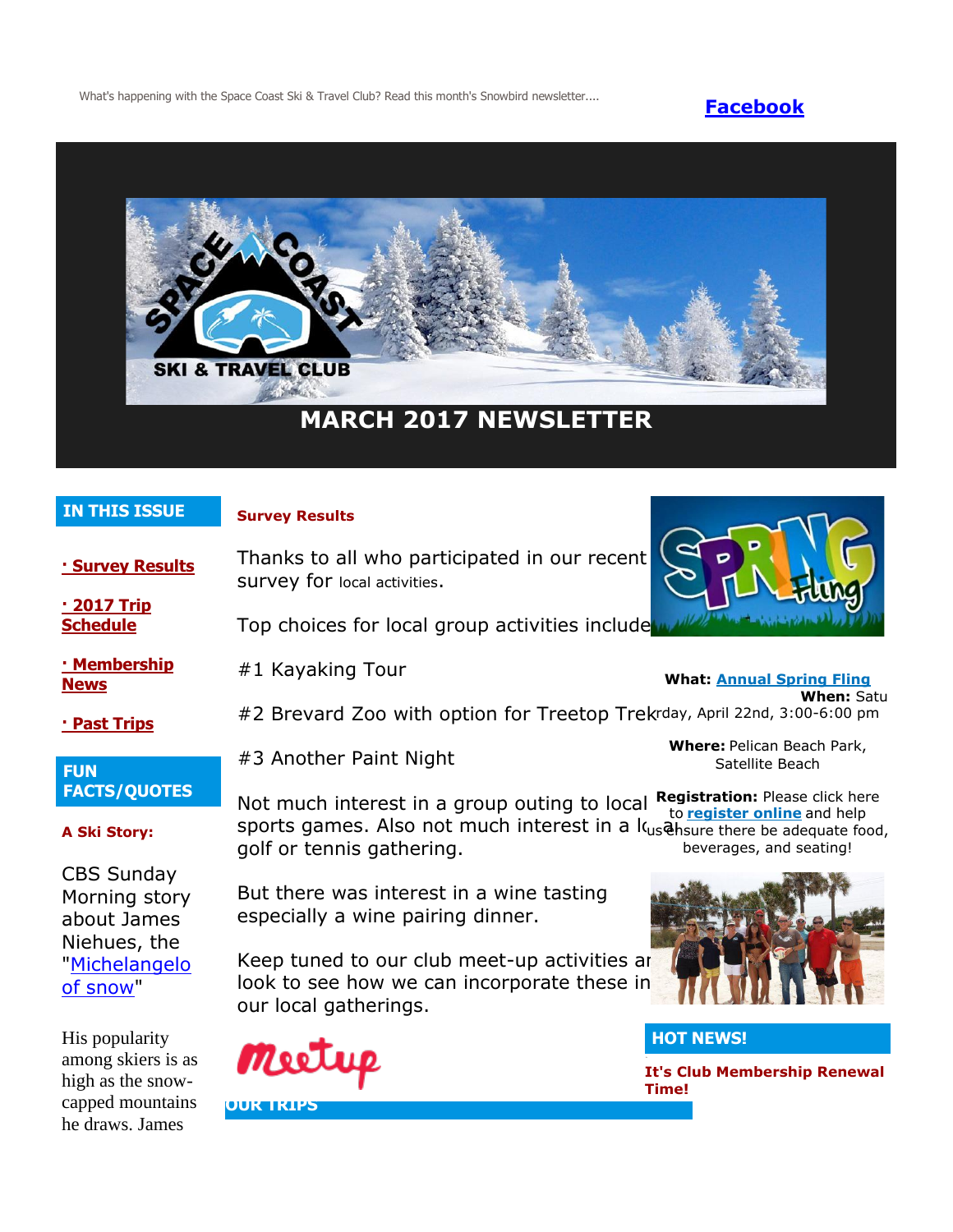What's happening with the Space Coast Ski & Travel Club? Read this month's Snowbird newsletter.... **[Facebook](https://www.facebook.com/pages/Space-Coast-Ski-Club/137991863341)** 



# **MARCH 2017 NEWSLETTER**

### **IN THIS ISSUE**

#### **Survey Results**

survey for local activities.

#3 Another Paint Night

**[· Survey Results](http://spacecoastskiclub.com/Admin/Settings/Emails/EmailContentProvider.aspx?emailId=56430225#anchor1)**

**[· 2017 Trip](http://spacecoastskiclub.com/Admin/Settings/Emails/EmailContentProvider.aspx?emailId=56430225#anchor2)  [Schedule](http://spacecoastskiclub.com/Admin/Settings/Emails/EmailContentProvider.aspx?emailId=56430225#anchor2)** 

Top choices for local group activities include

Thanks to all who participated in our recent

**[· Membership](http://spacecoastskiclub.com/Admin/Settings/Emails/EmailContentProvider.aspx?emailId=56430225#anchor3)**  #1 Kayaking Tour

> #2 Brevard Zoo with option for Treetop Trek rday, April 22nd, 3:00-6:00 pm **When:** Satu

### **[· Past Trips](http://spacecoastskiclub.com/Admin/Settings/Emails/EmailContentProvider.aspx?emailId=56430225#anchor4)**

**[News](http://spacecoastskiclub.com/Admin/Settings/Emails/EmailContentProvider.aspx?emailId=56430225#anchor3)**

### **FUN FACTS/QUOTES**

#### **A Ski Story:**

CBS Sunday Morning story about James Niehues, the ["Michelangelo](https://www.youtube.com/watch?v=phWY7BQYD7k)  [of snow"](https://www.youtube.com/watch?v=phWY7BQYD7k)

His popularity among skiers is as high as the snowcapped mountains he draws. James

Not much interest in a group outing to local sports games. Also not much interest in a louse have there be adequate food, golf or tennis gathering. **Registration:** Please click here to **[register online](http://spacecoastskiclub.com/event-2470018/Registration)** and help beverages, and seating!

But there was interest in a wine tasting especially a wine pairing dinner.

Keep tuned to our club meet-up activities are look to see how we can incorporate these in our local gatherings.





# **HOT NEWS!**

**It's Club Membership Renewal Time!**



**What: [Annual Spring Fling](http://spacecoastskiclub.com/event-2470018)**

**Where:** Pelican Beach Park, Satellite Beach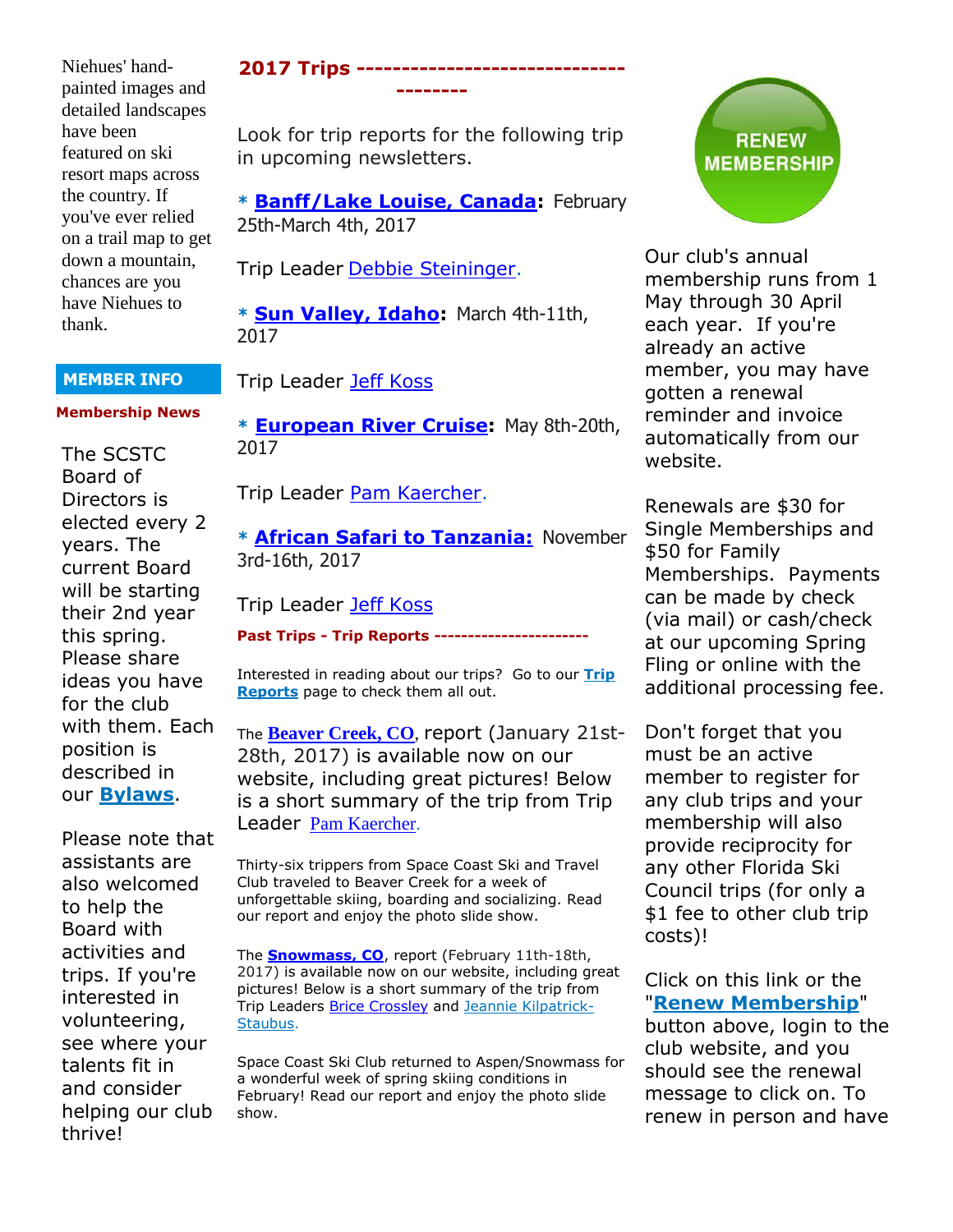Niehues' handpainted images and detailed landscapes have been featured on ski resort maps across the country. If you've ever relied on a trail map to get down a mountain, chances are you have Niehues to thank.

#### **MEMBER INFO**

#### **Membership News**

The SCSTC Board of Directors is elected every 2 years. The current Board will be starting their 2nd year this spring. Please share ideas you have for the club with them. Each position is described in our **[Bylaws](http://spacecoastskiclub.com/resources/Documents/bylaws/SCSTC%20Bylaws_4.15.15.pdf)**.

Please note that assistants are also welcomed to help the Board with activities and trips. If you're interested in volunteering, see where your talents fit in and consider helping our club thrive!

# **2017 Trips ------------------------------ --------**

Look for trip reports for the following trip in upcoming newsletters.

**\* [Banff/Lake Louise, Canada:](http://spacecoastskiclub.com/event-2257100)** February 25th-March 4th, 2017

Trip Leader [Debbie Steininger.](mailto:dsteininger@cfl.rr.com)

**\* [Sun Valley, Idaho:](http://spacecoastskiclub.com/event-2280066)** March 4th-11th, 2017

# Trip Leader [Jeff Koss](mailto:kaoshome@earthlink.net)

**\* [European River Cruise:](http://spacecoastskiclub.com/event-2229276)** May 8th-20th, 2017

Trip Leader [Pam Kaercher.](mailto:Pam@spacecoastskiclub.com)

**\* [African Safari to Tanzania:](http://spacecoastskiclub.com/event-2313660)** November 3rd-16th, 2017

### Trip Leader [Jeff Koss](mailto:kaoshome@earthlink.net)

#### **Past Trips - Trip Reports -----------------------**

Interested in reading about our trips? Go to our **[Trip](http://spacecoastskiclub.com/PastTrips)  [Reports](http://spacecoastskiclub.com/PastTrips)** page to check them all out.

The **[Beaver Creek, CO](http://spacecoastskiclub.com/page-1854085)**, report (January 21st-28th, 2017) is available now on our website, including great pictures! Below is a short summary of the trip from Trip Leader [Pam Kaercher.](mailto:Pam@spacecoastskiclub.com)

Thirty-six trippers from Space Coast Ski and Travel Club traveled to Beaver Creek for a week of unforgettable skiing, boarding and socializing. Read our report and enjoy the photo slide show.

The **[Snowmass, CO](http://spacecoastskiclub.com/page-1854084)**, report (February 11th-18th, 2017) is available now on our website, including great pictures! Below is a short summary of the trip from Trip Leaders [Brice Crossley](mailto:Brice@spacecoastskiclub.com) and [Jeannie Kilpatrick-](mailto:Jeannie@spacecoastskiclub.com)[Staubus.](mailto:Jeannie@spacecoastskiclub.com)

Space Coast Ski Club returned to Aspen/Snowmass for a wonderful week of spring skiing conditions in February! Read our report and enjoy the photo slide show.



Our club's annual membership runs from 1 May through 30 April each year. If you're already an active member, you may have gotten a renewal reminder and invoice automatically from our website.

Renewals are \$30 for Single Memberships and \$50 for Family Memberships. Payments can be made by check (via mail) or cash/check at our upcoming Spring Fling or online with the additional processing fee.

Don't forget that you must be an active member to register for any club trips and your membership will also provide reciprocity for any other Florida Ski Council trips (for only a \$1 fee to other club trip costs)!

Click on this link or the "**[Renew Membership](http://spacecoastskiclub.com/)**"

button above, login to the club website, and you should see the renewal message to click on. To renew in person and have